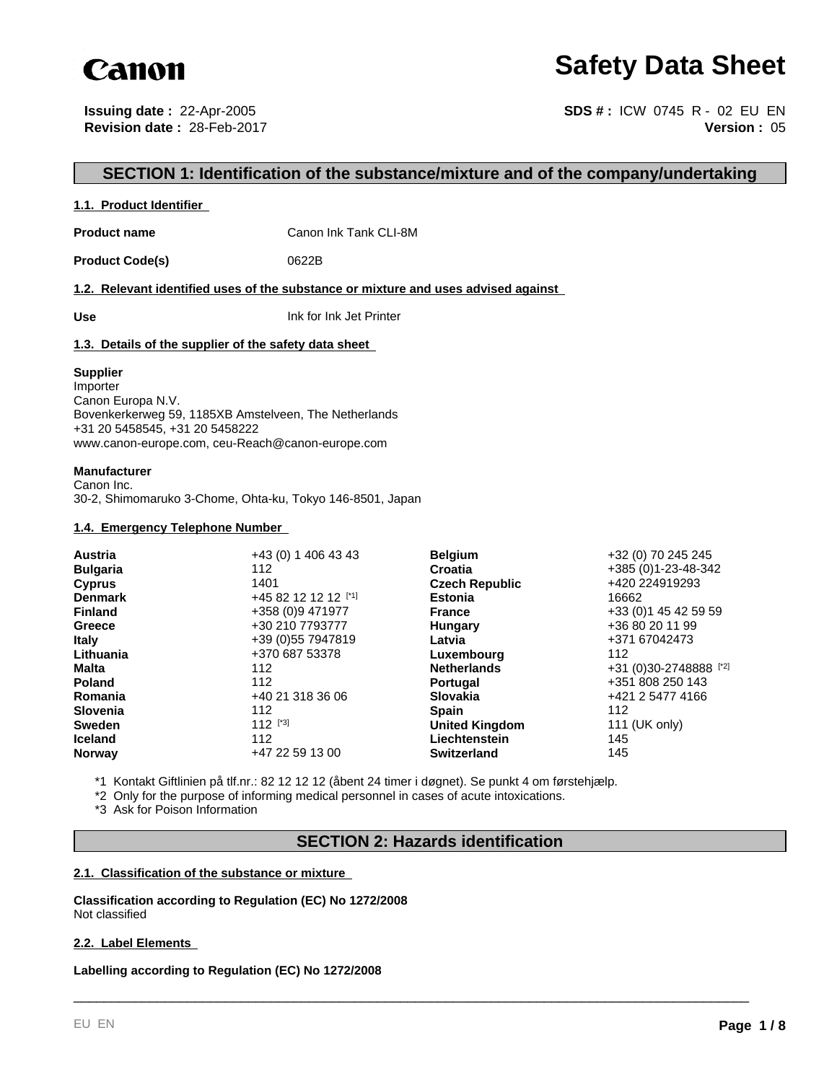

# **Safety Data Sheet**

**Issuing date :** 22-Apr-2005 **Revision date :** 28-Feb-2017

**Version :** 05 **SDS # :** ICW 0745 R - 02 EU EN

# **SECTION 1: Identification of the substance/mixture and of the company/undertaking**

### **1.1. Product Identifier**

**Product name** Canon Ink Tank CLI-8M

Product Code(s) 0622B

**1.2. Relevant identified uses of the substance or mixture and uses advised against** 

**Use** Ink for Ink Jet Printer

### **1.3. Details of the supplier of the safety data sheet**

#### **Supplier**

Importer Canon Europa N.V. Bovenkerkerweg 59, 1185XB Amstelveen, The Netherlands +31 20 5458545, +31 20 5458222 www.canon-europe.com, ceu-Reach@canon-europe.com

#### **Manufacturer**

Canon Inc. 30-2, Shimomaruko 3-Chome, Ohta-ku, Tokyo 146-8501, Japan

## **1.4. Emergency Telephone Number**

| <b>Austria</b>  | +43 (0) 1 406 43 43  | <b>Belgium</b>        | +32 (0) 70 245 245     |
|-----------------|----------------------|-----------------------|------------------------|
| <b>Bulgaria</b> | 112                  | Croatia               | +385 (0)1-23-48-342    |
| <b>Cyprus</b>   | 1401                 | <b>Czech Republic</b> | +420 224919293         |
| <b>Denmark</b>  | +45 82 12 12 12 [*1] | <b>Estonia</b>        | 16662                  |
| <b>Finland</b>  | +358 (0)9 471977     | <b>France</b>         | +33 (0) 1 45 42 59 59  |
| Greece          | +30 210 7793777      | Hungary               | +36 80 20 11 99        |
| <b>Italy</b>    | +39 (0) 55 7947819   | Latvia                | +371 67042473          |
| Lithuania       | +370 687 53378       | Luxembourg            | 112                    |
| <b>Malta</b>    | 112                  | <b>Netherlands</b>    | +31 (0)30-2748888 [*2] |
| <b>Poland</b>   | 112                  | <b>Portugal</b>       | +351 808 250 143       |
| Romania         | +40 21 318 36 06     | <b>Slovakia</b>       | +421 2 5477 4166       |
| <b>Slovenia</b> | 112                  | <b>Spain</b>          | 112                    |
| <b>Sweden</b>   | 112 $[^{3}]$         | <b>United Kingdom</b> | 111 (UK only)          |
| <b>Iceland</b>  | 112                  | Liechtenstein         | 145                    |
| <b>Norway</b>   | +47 22 59 13 00      | <b>Switzerland</b>    | 145                    |

\*1 Kontakt Giftlinien på tlf.nr.: 82 12 12 12 (åbent 24 timer i døgnet). Se punkt 4 om førstehjælp.

\*2 Only for the purpose of informing medical personnel in cases of acute intoxications.

\*3 Ask for Poison Information

# **SECTION 2: Hazards identification**

\_\_\_\_\_\_\_\_\_\_\_\_\_\_\_\_\_\_\_\_\_\_\_\_\_\_\_\_\_\_\_\_\_\_\_\_\_\_\_\_\_\_\_\_\_\_\_\_\_\_\_\_\_\_\_\_\_\_\_\_\_\_\_\_\_\_\_\_\_\_\_\_\_\_\_\_\_\_\_\_\_\_\_\_\_\_\_\_\_

### **2.1. Classification of the substance or mixture**

**Classification according to Regulation (EC) No 1272/2008** Not classified

### **2.2. Label Elements**

**Labelling according to Regulation (EC) No 1272/2008**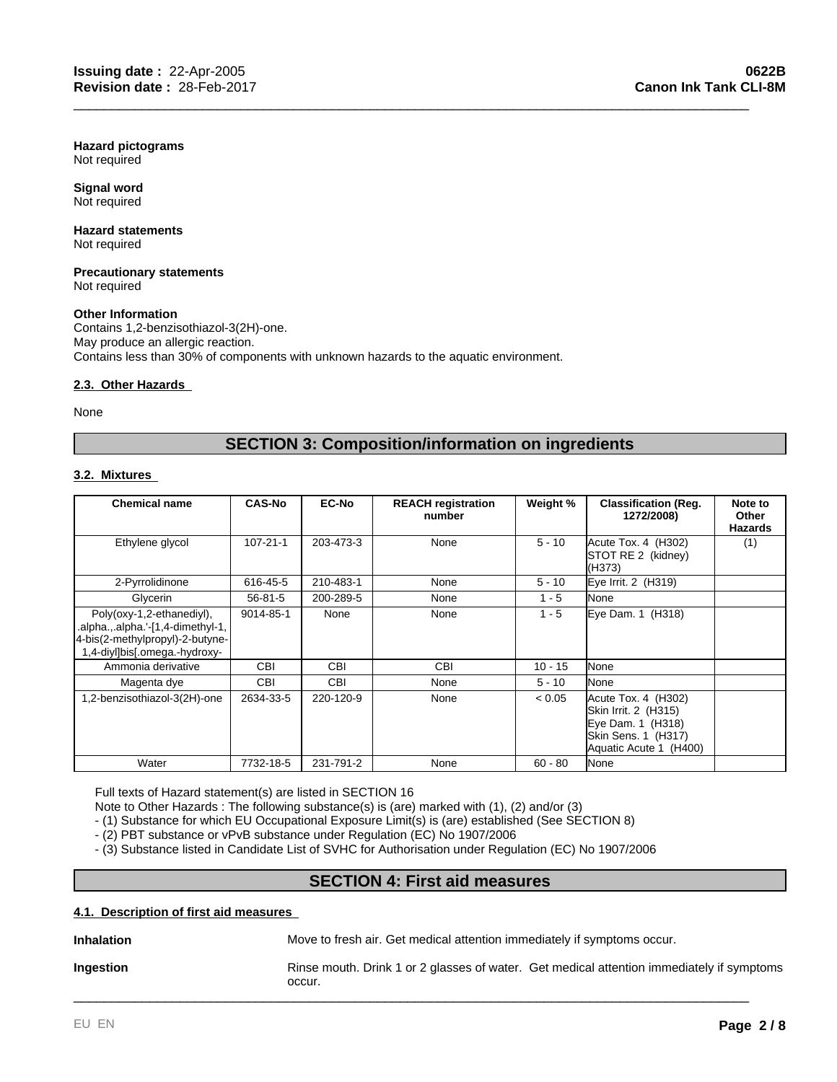**Hazard pictograms** Not required

**Signal word** Not required

#### **Hazard statements** Not required

**Precautionary statements** Not required

### **Other Information**

Contains 1,2-benzisothiazol-3(2H)-one. May produce an allergic reaction. Contains less than 30% of components with unknown hazards to the aquatic environment.

### **2.3. Other Hazards**

None

# **SECTION 3: Composition/information on ingredients**

\_\_\_\_\_\_\_\_\_\_\_\_\_\_\_\_\_\_\_\_\_\_\_\_\_\_\_\_\_\_\_\_\_\_\_\_\_\_\_\_\_\_\_\_\_\_\_\_\_\_\_\_\_\_\_\_\_\_\_\_\_\_\_\_\_\_\_\_\_\_\_\_\_\_\_\_\_\_\_\_\_\_\_\_\_\_\_\_\_

# **3.2. Mixtures**

| <b>Chemical name</b>                                                                                                               | <b>CAS-No</b>  | <b>EC-No</b> | <b>REACH registration</b><br>number | Weight %  | <b>Classification (Reg.</b><br>1272/2008)                                                                         | Note to<br>Other<br><b>Hazards</b> |
|------------------------------------------------------------------------------------------------------------------------------------|----------------|--------------|-------------------------------------|-----------|-------------------------------------------------------------------------------------------------------------------|------------------------------------|
| Ethylene glycol                                                                                                                    | $107 - 21 - 1$ | 203-473-3    | None                                | $5 - 10$  | Acute Tox. 4 (H302)<br>STOT RE 2 (kidney)<br>(H373)                                                               | (1)                                |
| 2-Pyrrolidinone                                                                                                                    | 616-45-5       | 210-483-1    | None                                | $5 - 10$  | Eye Irrit. 2 (H319)                                                                                               |                                    |
| Glycerin                                                                                                                           | $56 - 81 - 5$  | 200-289-5    | None                                | $1 - 5$   | None                                                                                                              |                                    |
| Poly(oxy-1,2-ethanediyl),<br>.alpha.,.alpha.'-[1,4-dimethyl-1,<br>4-bis(2-methylpropyl)-2-butyne-<br>1,4-diyl]bis[.omega.-hydroxy- | 9014-85-1      | None         | None                                | $1 - 5$   | Eye Dam. 1 (H318)                                                                                                 |                                    |
| Ammonia derivative                                                                                                                 | <b>CBI</b>     | <b>CBI</b>   | <b>CBI</b>                          | $10 - 15$ | None                                                                                                              |                                    |
| Magenta dye                                                                                                                        | <b>CBI</b>     | <b>CBI</b>   | None                                | $5 - 10$  | None                                                                                                              |                                    |
| 1,2-benzisothiazol-3(2H)-one                                                                                                       | 2634-33-5      | 220-120-9    | None                                | < 0.05    | Acute Tox. 4 (H302)<br>Skin Irrit. 2 (H315)<br>Eye Dam. 1 (H318)<br>Skin Sens. 1 (H317)<br>Aquatic Acute 1 (H400) |                                    |
| Water                                                                                                                              | 7732-18-5      | 231-791-2    | None                                | $60 - 80$ | None                                                                                                              |                                    |

Full texts of Hazard statement(s) are listed in SECTION 16

Note to Other Hazards : The following substance(s) is (are) marked with (1), (2) and/or (3)

- (1) Substance for which EU Occupational Exposure Limit(s) is (are) established (See SECTION 8)

- (2) PBT substance or vPvB substance under Regulation (EC) No 1907/2006

- (3) Substance listed in Candidate List of SVHC for Authorisation under Regulation (EC) No 1907/2006

# **SECTION 4: First aid measures**

### **4.1. Description of first aid measures**

**Inhalation** Move to fresh air. Get medical attention immediately if symptoms occur. **Ingestion Rinse mouth. Drink 1 or 2 glasses of water. Get medical attention immediately if symptoms** occur. \_\_\_\_\_\_\_\_\_\_\_\_\_\_\_\_\_\_\_\_\_\_\_\_\_\_\_\_\_\_\_\_\_\_\_\_\_\_\_\_\_\_\_\_\_\_\_\_\_\_\_\_\_\_\_\_\_\_\_\_\_\_\_\_\_\_\_\_\_\_\_\_\_\_\_\_\_\_\_\_\_\_\_\_\_\_\_\_\_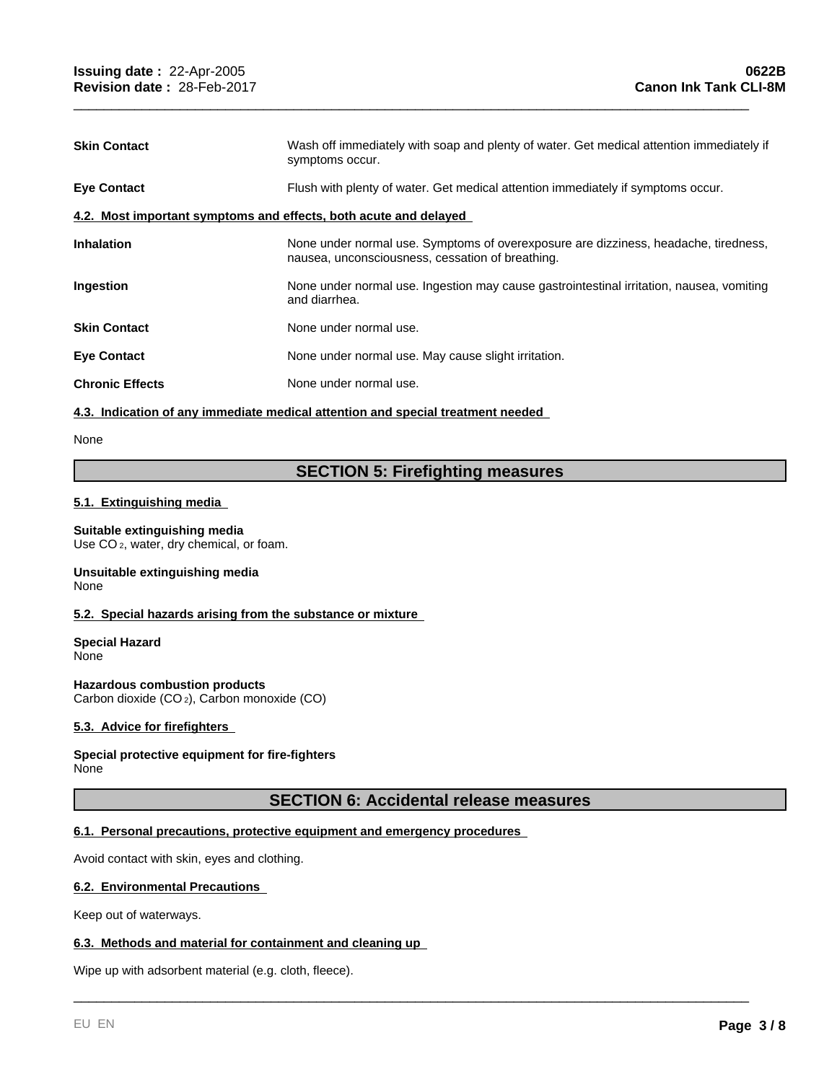| <b>Skin Contact</b>                                              | Wash off immediately with soap and plenty of water. Get medical attention immediately if<br>symptoms occur.                             |  |  |  |  |
|------------------------------------------------------------------|-----------------------------------------------------------------------------------------------------------------------------------------|--|--|--|--|
| <b>Eye Contact</b>                                               | Flush with plenty of water. Get medical attention immediately if symptoms occur.                                                        |  |  |  |  |
| 4.2. Most important symptoms and effects, both acute and delayed |                                                                                                                                         |  |  |  |  |
| <b>Inhalation</b>                                                | None under normal use. Symptoms of overexposure are dizziness, headache, tiredness,<br>nausea, unconsciousness, cessation of breathing. |  |  |  |  |
| <b>Ingestion</b>                                                 | None under normal use. Ingestion may cause gastrointestinal irritation, nausea, vomiting<br>and diarrhea.                               |  |  |  |  |
| <b>Skin Contact</b>                                              | None under normal use.                                                                                                                  |  |  |  |  |
| <b>Eye Contact</b>                                               | None under normal use. May cause slight irritation.                                                                                     |  |  |  |  |
| <b>Chronic Effects</b>                                           | None under normal use.                                                                                                                  |  |  |  |  |
|                                                                  |                                                                                                                                         |  |  |  |  |

\_\_\_\_\_\_\_\_\_\_\_\_\_\_\_\_\_\_\_\_\_\_\_\_\_\_\_\_\_\_\_\_\_\_\_\_\_\_\_\_\_\_\_\_\_\_\_\_\_\_\_\_\_\_\_\_\_\_\_\_\_\_\_\_\_\_\_\_\_\_\_\_\_\_\_\_\_\_\_\_\_\_\_\_\_\_\_\_\_

#### **4.3. Indication of any immediate medical attention and special treatment needed**

None

# **SECTION 5: Firefighting measures**

# **5.1. Extinguishing media**

# **Suitable extinguishing media**

Use CO<sub>2</sub>, water, dry chemical, or foam.

#### **Unsuitable extinguishing media** None

### **5.2. Special hazards arising from the substance or mixture**

**Special Hazard** None

**Hazardous combustion products** Carbon dioxide (CO 2), Carbon monoxide (CO)

# **5.3. Advice for firefighters**

#### **Special protective equipment for fire-fighters** None

# **SECTION 6: Accidental release measures**

\_\_\_\_\_\_\_\_\_\_\_\_\_\_\_\_\_\_\_\_\_\_\_\_\_\_\_\_\_\_\_\_\_\_\_\_\_\_\_\_\_\_\_\_\_\_\_\_\_\_\_\_\_\_\_\_\_\_\_\_\_\_\_\_\_\_\_\_\_\_\_\_\_\_\_\_\_\_\_\_\_\_\_\_\_\_\_\_\_

## **6.1. Personal precautions, protective equipment and emergency procedures**

Avoid contact with skin, eyes and clothing.

### **6.2. Environmental Precautions**

Keep out of waterways.

#### **6.3. Methods and material for containment and cleaning up**

Wipe up with adsorbent material (e.g. cloth, fleece).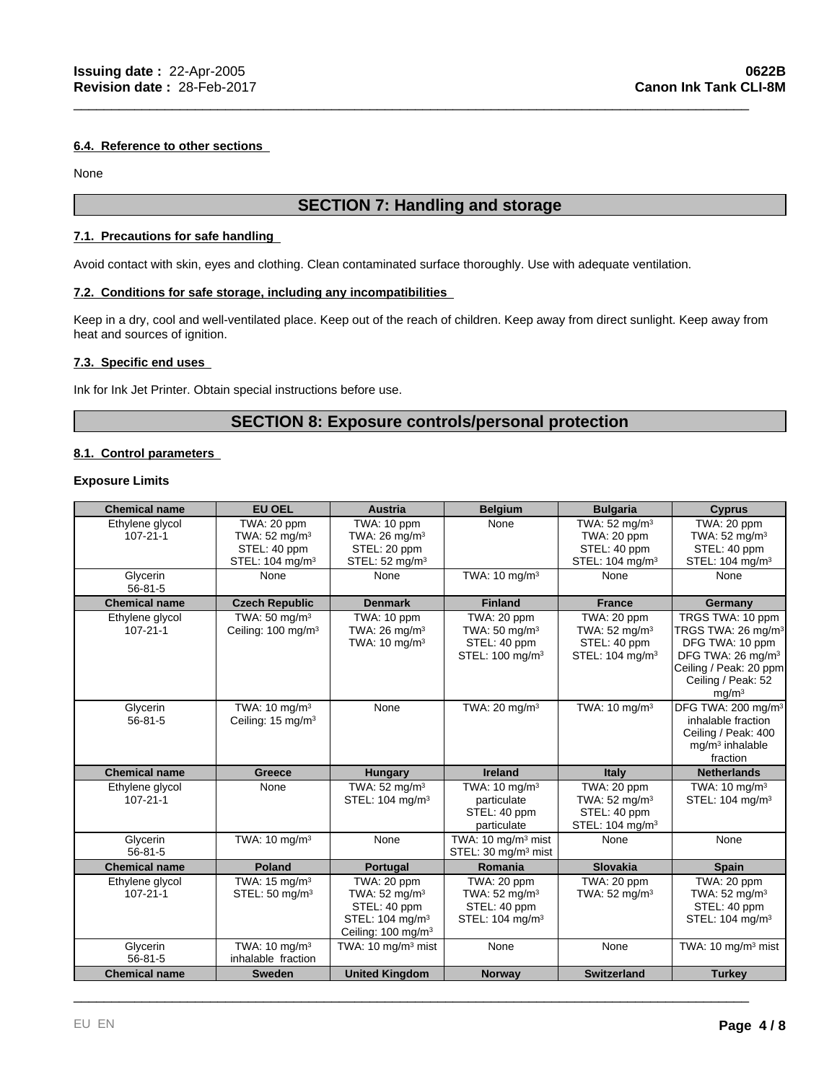### **6.4. Reference to other sections**

None

# **SECTION 7: Handling and storage**

\_\_\_\_\_\_\_\_\_\_\_\_\_\_\_\_\_\_\_\_\_\_\_\_\_\_\_\_\_\_\_\_\_\_\_\_\_\_\_\_\_\_\_\_\_\_\_\_\_\_\_\_\_\_\_\_\_\_\_\_\_\_\_\_\_\_\_\_\_\_\_\_\_\_\_\_\_\_\_\_\_\_\_\_\_\_\_\_\_

#### **7.1. Precautions for safe handling**

Avoid contact with skin, eyes and clothing. Clean contaminated surface thoroughly. Use with adequate ventilation.

# **7.2. Conditions for safe storage, including any incompatibilities**

Keep in a dry, cool and well-ventilated place. Keep out of the reach of children. Keep away from direct sunlight. Keep away from heat and sources of ignition.

# **7.3. Specific end uses**

Ink for Ink Jet Printer. Obtain special instructions before use.

# **SECTION 8: Exposure controls/personal protection**

# **8.1. Control parameters**

# **Exposure Limits**

| <b>Chemical name</b>              | <b>EU OEL</b>                                              | <b>Austria</b>                                                                                                           | <b>Belgium</b>                                                                         | <b>Bulgaria</b>                                                                         | <b>Cyprus</b>                                                                                                                                                               |
|-----------------------------------|------------------------------------------------------------|--------------------------------------------------------------------------------------------------------------------------|----------------------------------------------------------------------------------------|-----------------------------------------------------------------------------------------|-----------------------------------------------------------------------------------------------------------------------------------------------------------------------------|
| Ethylene glycol<br>$107 - 21 - 1$ | TWA: 20 ppm<br>TWA: $52 \text{ mg/m}^3$<br>STEL: 40 ppm    | TWA: 10 ppm<br>TWA: 26 mg/m <sup>3</sup><br>STEL: 20 ppm                                                                 | None                                                                                   | TWA: $52 \text{ mg/m}^3$<br>TWA: 20 ppm<br>STEL: 40 ppm                                 | TWA: 20 ppm<br>TWA: $52 \text{ mg/m}^3$<br>STEL: 40 ppm                                                                                                                     |
| Glycerin<br>$56 - 81 - 5$         | STEL: 104 mg/m <sup>3</sup><br>None                        | STEL: 52 mg/m <sup>3</sup><br>None                                                                                       | TWA: $10 \text{ mg/m}^3$                                                               | STEL: 104 mg/m <sup>3</sup><br>None                                                     | STEL: 104 mg/m <sup>3</sup><br>None                                                                                                                                         |
| <b>Chemical name</b>              | <b>Czech Republic</b>                                      | <b>Denmark</b>                                                                                                           | <b>Finland</b>                                                                         | <b>France</b>                                                                           | Germany                                                                                                                                                                     |
| Ethylene glycol<br>$107 - 21 - 1$ | TWA: $50 \text{ mg/m}^3$<br>Ceiling: 100 mg/m <sup>3</sup> | TWA: 10 ppm<br>TWA: $26 \text{ mg/m}^3$<br>TWA: $10 \text{ mg/m}^3$                                                      | TWA: 20 ppm<br>TWA: $50 \text{ mg/m}^3$<br>STEL: 40 ppm<br>STEL: 100 mg/m <sup>3</sup> | TWA: 20 ppm<br>TWA: 52 mg/m <sup>3</sup><br>STEL: 40 ppm<br>STEL: 104 mg/m <sup>3</sup> | TRGS TWA: 10 ppm<br>TRGS TWA: 26 mg/m <sup>3</sup><br>DFG TWA: 10 ppm<br>DFG TWA: 26 mg/m <sup>3</sup><br>Ceiling / Peak: 20 ppm<br>Ceiling / Peak: 52<br>mg/m <sup>3</sup> |
| Glycerin<br>$56 - 81 - 5$         | TWA: $10 \text{ mg/m}^3$<br>Ceiling: 15 mg/m <sup>3</sup>  | None                                                                                                                     | TWA: 20 mg/m <sup>3</sup>                                                              | TWA: $10 \text{ ma/m}^3$                                                                | DFG TWA: 200 mg/m <sup>3</sup><br>inhalable fraction<br>Ceiling / Peak: 400<br>$mq/m3$ inhalable<br>fraction                                                                |
| <b>Chemical name</b>              | <b>Greece</b>                                              | <b>Hungary</b>                                                                                                           | <b>Ireland</b>                                                                         | Italy                                                                                   | <b>Netherlands</b>                                                                                                                                                          |
| Ethylene glycol<br>$107 - 21 - 1$ | None                                                       | TWA: $52 \text{ mg/m}^3$<br>STEL: 104 mg/m <sup>3</sup>                                                                  | TWA: $10 \text{ mg/m}^3$<br>particulate<br>STEL: 40 ppm<br>particulate                 | TWA: 20 ppm<br>TWA: $52 \text{ mg/m}^3$<br>STEL: 40 ppm<br>STEL: 104 mg/m <sup>3</sup>  | TWA: $10 \text{ mg/m}^3$<br>STEL: 104 mg/m <sup>3</sup>                                                                                                                     |
| Glycerin<br>$56 - 81 - 5$         | TWA: 10 mg/m <sup>3</sup>                                  | None                                                                                                                     | TWA: 10 mg/m <sup>3</sup> mist<br>STEL: 30 mg/m <sup>3</sup> mist                      | None                                                                                    | None                                                                                                                                                                        |
| <b>Chemical name</b>              | Poland                                                     | Portugal                                                                                                                 | Romania                                                                                | <b>Slovakia</b>                                                                         | <b>Spain</b>                                                                                                                                                                |
| Ethylene glycol<br>$107 - 21 - 1$ | TWA: $15 \text{ mg/m}^3$<br>STEL: 50 mg/m <sup>3</sup>     | TWA: 20 ppm<br>TWA: $52 \text{ mg/m}^3$<br>STEL: 40 ppm<br>STEL: 104 mg/m <sup>3</sup><br>Ceiling: 100 mg/m <sup>3</sup> | TWA: 20 ppm<br>TWA: $52 \text{ mg/m}^3$<br>STEL: 40 ppm<br>STEL: 104 mg/m <sup>3</sup> | TWA: 20 ppm<br>TWA: $52 \text{ mg/m}^3$                                                 | TWA: 20 ppm<br>TWA: $52 \text{ mg/m}^3$<br>STEL: 40 ppm<br>STEL: 104 mg/m <sup>3</sup>                                                                                      |
| Glycerin<br>$56 - 81 - 5$         | TWA: 10 mg/m <sup>3</sup><br>inhalable fraction            | TWA: $10 \text{ mg/m}^3$ mist                                                                                            | None                                                                                   | None                                                                                    | TWA: 10 mg/m <sup>3</sup> mist                                                                                                                                              |
| <b>Chemical name</b>              | <b>Sweden</b>                                              | <b>United Kingdom</b>                                                                                                    | Norway                                                                                 | <b>Switzerland</b>                                                                      | <b>Turkey</b>                                                                                                                                                               |

\_\_\_\_\_\_\_\_\_\_\_\_\_\_\_\_\_\_\_\_\_\_\_\_\_\_\_\_\_\_\_\_\_\_\_\_\_\_\_\_\_\_\_\_\_\_\_\_\_\_\_\_\_\_\_\_\_\_\_\_\_\_\_\_\_\_\_\_\_\_\_\_\_\_\_\_\_\_\_\_\_\_\_\_\_\_\_\_\_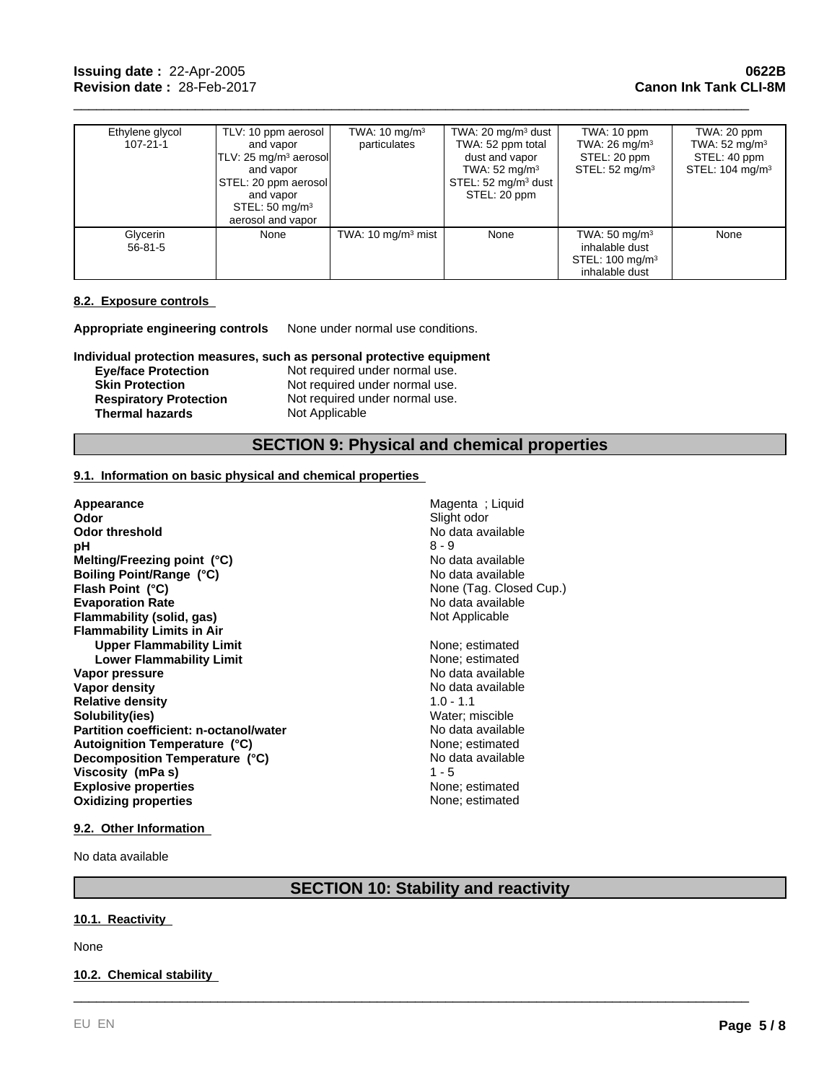| Ethylene glycol<br>$107 - 21 - 1$ | TLV: 10 ppm aerosol<br>and vapor<br>$TLV: 25 mg/m3$ aerosol<br>and vapor<br>STEL: 20 ppm aerosol<br>and vapor<br>STEL: $50 \text{ mg/m}^3$<br>aerosol and vapor | TWA: $10 \text{ mg/m}^3$<br>particulates | TWA: 20 mg/m $3$ dust<br>TWA: 52 ppm total<br>dust and vapor<br>TWA: $52 \text{ mg/m}^3$<br>STEL: $52 \text{ mg/m}^3$ dust  <br>STEL: 20 ppm | TWA: 10 ppm<br>TWA: $26 \text{ mg/m}^3$<br>STEL: 20 ppm<br>STEL: $52 \text{ mg/m}^3$        | TWA: 20 ppm<br>TWA: $52 \text{ mg/m}^3$<br>STEL: 40 ppm<br>STEL: $104 \text{ mg/m}^3$ |
|-----------------------------------|-----------------------------------------------------------------------------------------------------------------------------------------------------------------|------------------------------------------|----------------------------------------------------------------------------------------------------------------------------------------------|---------------------------------------------------------------------------------------------|---------------------------------------------------------------------------------------|
| Glycerin<br>$56 - 81 - 5$         | None                                                                                                                                                            | TWA: $10 \text{ mg/m}^3$ mist            | None                                                                                                                                         | TWA: $50 \text{ mg/m}^3$<br>inhalable dust<br>STEL: 100 mg/m <sup>3</sup><br>inhalable dust | None                                                                                  |

\_\_\_\_\_\_\_\_\_\_\_\_\_\_\_\_\_\_\_\_\_\_\_\_\_\_\_\_\_\_\_\_\_\_\_\_\_\_\_\_\_\_\_\_\_\_\_\_\_\_\_\_\_\_\_\_\_\_\_\_\_\_\_\_\_\_\_\_\_\_\_\_\_\_\_\_\_\_\_\_\_\_\_\_\_\_\_\_\_

# **8.2. Exposure controls**

**Appropriate engineering controls** None under normal use conditions.

**Individual protection measures, such as personal protective equipment**

**Skin Protection**<br> **Respiratory Protection**<br>
Not required under normal use.<br>
Not required under normal use. **Thermal hazards** 

**Eye/face Protection Not required under normal use.**<br> **Skin Protection Not required under normal use.** Not required under normal use.<br>Not Applicable

# **SECTION 9: Physical and chemical properties**

## **9.1. Information on basic physical and chemical properties**

| <b>Appearance</b>                      | Magenta; Liquid         |
|----------------------------------------|-------------------------|
| Odor                                   | Slight odor             |
| Odor threshold                         | No data available       |
| рH                                     | $8 - 9$                 |
| Melting/Freezing point (°C)            | No data available       |
| Boiling Point/Range (°C)               | No data available       |
| Flash Point (°C)                       | None (Tag. Closed Cup.) |
| <b>Evaporation Rate</b>                | No data available       |
| Flammability (solid, gas)              | Not Applicable          |
| <b>Flammability Limits in Air</b>      |                         |
| <b>Upper Flammability Limit</b>        | None; estimated         |
| <b>Lower Flammability Limit</b>        | None; estimated         |
| Vapor pressure                         | No data available       |
| Vapor density                          | No data available       |
| <b>Relative density</b>                | $1.0 - 1.1$             |
| Solubility(ies)                        | Water; miscible         |
| Partition coefficient: n-octanol/water | No data available       |
| Autoignition Temperature (°C)          | None; estimated         |
| Decomposition Temperature (°C)         | No data available       |
| Viscosity (mPa s)                      | $1 - 5$                 |
| <b>Explosive properties</b>            | None; estimated         |
| <b>Oxidizing properties</b>            | None; estimated         |
|                                        |                         |

## **9.2. Other Information**

No data available

# **SECTION 10: Stability and reactivity**

\_\_\_\_\_\_\_\_\_\_\_\_\_\_\_\_\_\_\_\_\_\_\_\_\_\_\_\_\_\_\_\_\_\_\_\_\_\_\_\_\_\_\_\_\_\_\_\_\_\_\_\_\_\_\_\_\_\_\_\_\_\_\_\_\_\_\_\_\_\_\_\_\_\_\_\_\_\_\_\_\_\_\_\_\_\_\_\_\_

#### **10.1. Reactivity**

None

### **10.2. Chemical stability**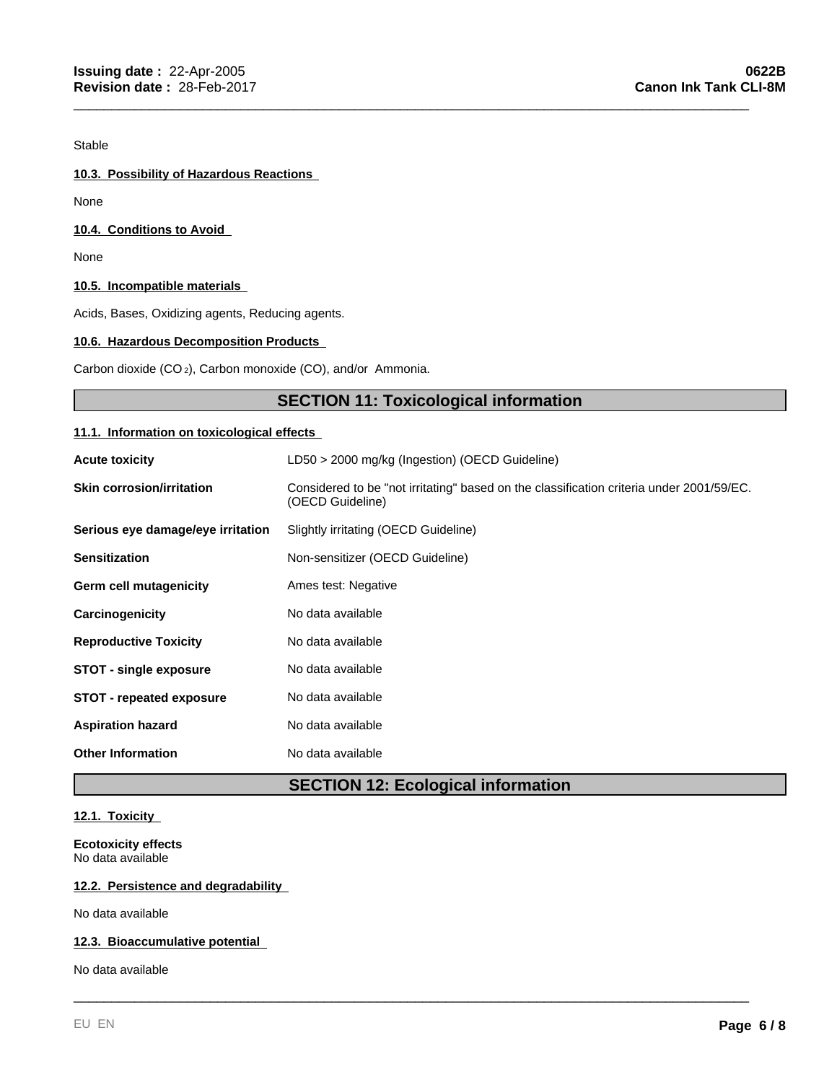Stable

# **10.3. Possibility of Hazardous Reactions**

None

# **10.4. Conditions to Avoid**

None

# **10.5. Incompatible materials**

Acids, Bases, Oxidizing agents, Reducing agents.

# **10.6. Hazardous Decomposition Products**

Carbon dioxide (CO 2), Carbon monoxide (CO), and/or Ammonia.

# **SECTION 11: Toxicological information**

\_\_\_\_\_\_\_\_\_\_\_\_\_\_\_\_\_\_\_\_\_\_\_\_\_\_\_\_\_\_\_\_\_\_\_\_\_\_\_\_\_\_\_\_\_\_\_\_\_\_\_\_\_\_\_\_\_\_\_\_\_\_\_\_\_\_\_\_\_\_\_\_\_\_\_\_\_\_\_\_\_\_\_\_\_\_\_\_\_

# **11.1. Information on toxicological effects**

| <b>Acute toxicity</b>             | LD50 > 2000 mg/kg (Ingestion) (OECD Guideline)                                                               |
|-----------------------------------|--------------------------------------------------------------------------------------------------------------|
| <b>Skin corrosion/irritation</b>  | Considered to be "not irritating" based on the classification criteria under 2001/59/EC.<br>(OECD Guideline) |
| Serious eye damage/eye irritation | Slightly irritating (OECD Guideline)                                                                         |
| <b>Sensitization</b>              | Non-sensitizer (OECD Guideline)                                                                              |
| Germ cell mutagenicity            | Ames test: Negative                                                                                          |
| Carcinogenicity                   | No data available                                                                                            |
| <b>Reproductive Toxicity</b>      | No data available                                                                                            |
| <b>STOT - single exposure</b>     | No data available                                                                                            |
| <b>STOT - repeated exposure</b>   | No data available                                                                                            |
| <b>Aspiration hazard</b>          | No data available                                                                                            |
| <b>Other Information</b>          | No data available                                                                                            |

# **SECTION 12: Ecological information**

\_\_\_\_\_\_\_\_\_\_\_\_\_\_\_\_\_\_\_\_\_\_\_\_\_\_\_\_\_\_\_\_\_\_\_\_\_\_\_\_\_\_\_\_\_\_\_\_\_\_\_\_\_\_\_\_\_\_\_\_\_\_\_\_\_\_\_\_\_\_\_\_\_\_\_\_\_\_\_\_\_\_\_\_\_\_\_\_\_

# **12.1. Toxicity**

**Ecotoxicity effects** No data available

# **12.2. Persistence and degradability**

No data available

## **12.3. Bioaccumulative potential**

No data available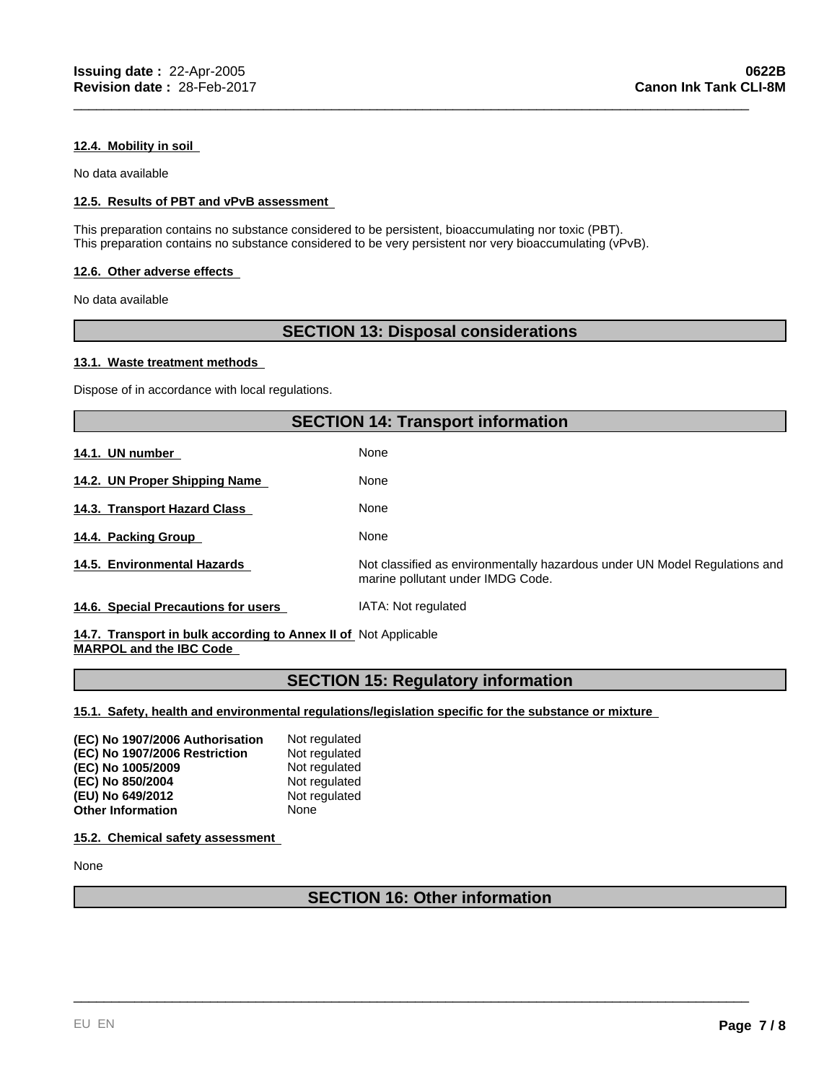### **12.4. Mobility in soil**

No data available

# **12.5. Results of PBT and vPvB assessment**

This preparation contains no substance considered to be persistent, bioaccumulating nor toxic (PBT). This preparation contains no substance considered to be very persistent nor very bioaccumulating (vPvB).

#### **12.6. Other adverse effects**

No data available

# **SECTION 13: Disposal considerations**

\_\_\_\_\_\_\_\_\_\_\_\_\_\_\_\_\_\_\_\_\_\_\_\_\_\_\_\_\_\_\_\_\_\_\_\_\_\_\_\_\_\_\_\_\_\_\_\_\_\_\_\_\_\_\_\_\_\_\_\_\_\_\_\_\_\_\_\_\_\_\_\_\_\_\_\_\_\_\_\_\_\_\_\_\_\_\_\_\_

#### **13.1. Waste treatment methods**

Dispose of in accordance with local regulations.

# **SECTION 14: Transport information**

**14.1. UN number** 

None **14.2. UN Proper Shipping Name** 

**14.4. Packing Group**  None

**14.5. Environmental Hazards** Not classified as environmentally hazardous under UN Model Regulations and

**14.3. Transport Hazard Class** 

**14.6. Special Precautions for users** IATA: Not regulated

**14.7. Transport in bulk according to Annex II of**  Not Applicable **MARPOL and the IBC Code** 

# **SECTION 15: Regulatory information**

marine pollutant under IMDG Code.

**15.1. Safety, health and environmental regulations/legislation specific for the substance or mixture** 

None

None

| (EC) No 1907/2006 Authorisation | Not regulated |
|---------------------------------|---------------|
| (EC) No 1907/2006 Restriction   | Not regulated |
| (EC) No 1005/2009               | Not regulated |
| (EC) No 850/2004                | Not regulated |
| (EU) No 649/2012                | Not regulated |
| <b>Other Information</b>        | None          |

**15.2. Chemical safety assessment** 

None

# **SECTION 16: Other information**

\_\_\_\_\_\_\_\_\_\_\_\_\_\_\_\_\_\_\_\_\_\_\_\_\_\_\_\_\_\_\_\_\_\_\_\_\_\_\_\_\_\_\_\_\_\_\_\_\_\_\_\_\_\_\_\_\_\_\_\_\_\_\_\_\_\_\_\_\_\_\_\_\_\_\_\_\_\_\_\_\_\_\_\_\_\_\_\_\_